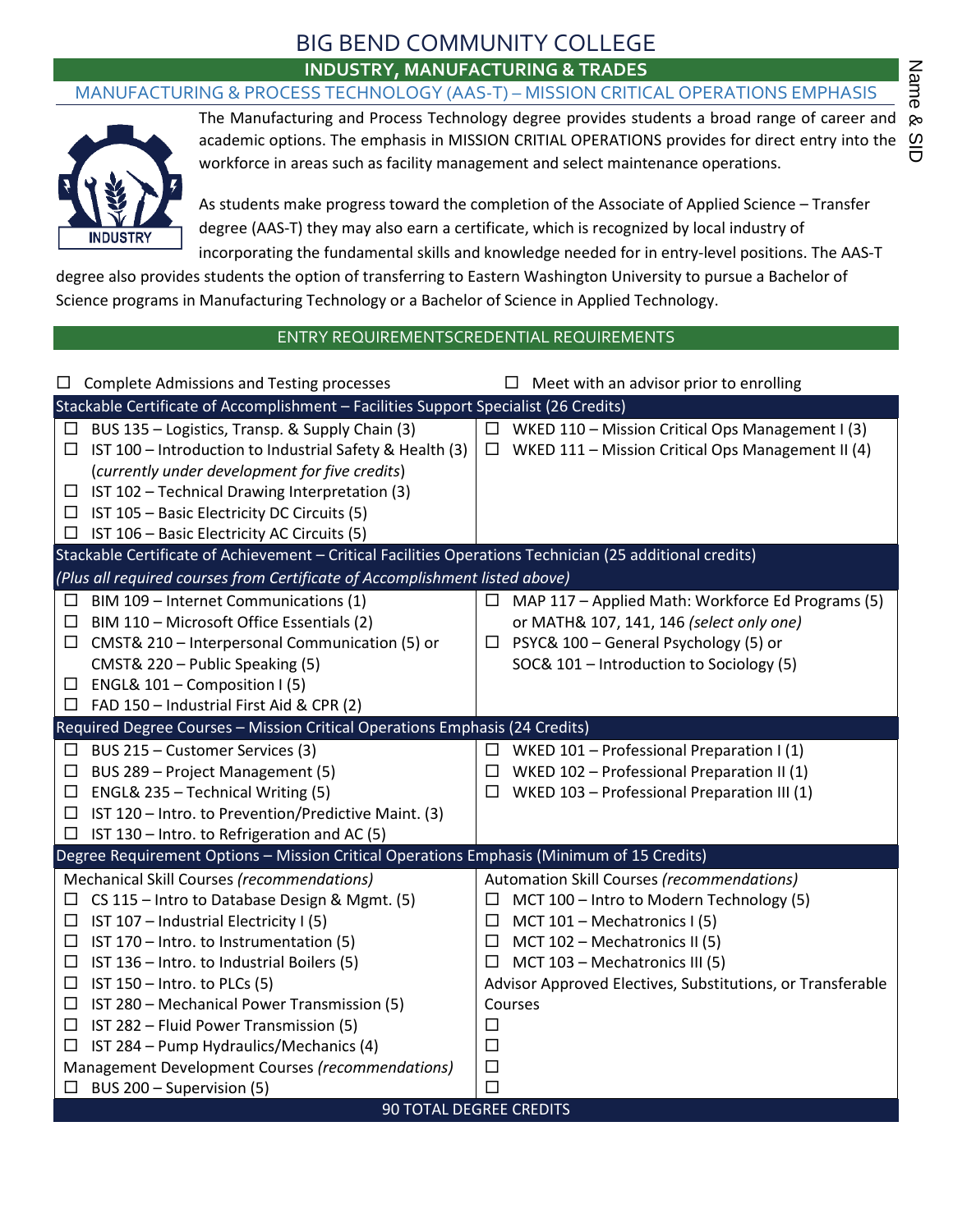## BIG BEND COMMUNITY COLLEGE **INDUSTRY, MANUFACTURING & TRADES**

### MANUFACTURING & PROCESS TECHNOLOGY (AAS-T) – MISSION CRITICAL OPERATIONS EMPHASIS



The Manufacturing and Process Technology degree provides students a broad range of career and academic options. The emphasis in MISSION CRITIAL OPERATIONS provides for direct entry into the workforce in areas such as facility management and select maintenance operations.

As students make progress toward the completion of the Associate of Applied Science – Transfer degree (AAS-T) they may also earn a certificate, which is recognized by local industry of incorporating the fundamental skills and knowledge needed for in entry-level positions. The AAS-T

degree also provides students the option of transferring to Eastern Washington University to pursue a Bachelor of Science programs in Manufacturing Technology or a Bachelor of Science in Applied Technology.

### ENTRY REQUIREMENTSCREDENTIAL REQUIREMENTS

| <b>Complete Admissions and Testing processes</b><br>ப                                                    | $\Box$ Meet with an advisor prior to enrolling              |
|----------------------------------------------------------------------------------------------------------|-------------------------------------------------------------|
| Stackable Certificate of Accomplishment - Facilities Support Specialist (26 Credits)                     |                                                             |
| BUS 135 - Logistics, Transp. & Supply Chain (3)<br>ப                                                     | $\Box$ WKED 110 - Mission Critical Ops Management I (3)     |
| IST 100 - Introduction to Industrial Safety & Health (3)<br>$\Box$                                       | WKED 111 - Mission Critical Ops Management II (4)<br>$\Box$ |
| (currently under development for five credits)                                                           |                                                             |
| IST 102 - Technical Drawing Interpretation (3)<br>⊔                                                      |                                                             |
| $\Box$ IST 105 – Basic Electricity DC Circuits (5)                                                       |                                                             |
| IST 106 - Basic Electricity AC Circuits (5)<br>⊔                                                         |                                                             |
| Stackable Certificate of Achievement - Critical Facilities Operations Technician (25 additional credits) |                                                             |
| (Plus all required courses from Certificate of Accomplishment listed above)                              |                                                             |
| BIM 109 - Internet Communications (1)<br>⊔                                                               | MAP 117 - Applied Math: Workforce Ed Programs (5)<br>ப      |
| BIM 110 - Microsoft Office Essentials (2)<br>$\Box$                                                      | or MATH& 107, 141, 146 (select only one)                    |
| CMST& 210 - Interpersonal Communication (5) or<br>$\Box$                                                 | $\Box$ PSYC& 100 – General Psychology (5) or                |
| CMST& 220 - Public Speaking (5)                                                                          | SOC& 101 - Introduction to Sociology (5)                    |
| ENGL& 101 - Composition I (5)<br>ப                                                                       |                                                             |
| $\Box$ FAD 150 - Industrial First Aid & CPR (2)                                                          |                                                             |
| Required Degree Courses - Mission Critical Operations Emphasis (24 Credits)                              |                                                             |
| BUS 215 - Customer Services (3)<br>$\Box$                                                                | $\Box$ WKED 101 – Professional Preparation I (1)            |
| BUS 289 - Project Management (5)<br>ப                                                                    | WKED 102 - Professional Preparation II (1)<br>$\Box$        |
| ENGL& 235 - Technical Writing (5)<br>$\Box$                                                              | WKED 103 - Professional Preparation III (1)<br>$\Box$       |
| IST 120 - Intro. to Prevention/Predictive Maint. (3)<br>$\Box$                                           |                                                             |
| IST 130 - Intro. to Refrigeration and AC (5)<br>$\Box$                                                   |                                                             |
| Degree Requirement Options - Mission Critical Operations Emphasis (Minimum of 15 Credits)                |                                                             |
| Mechanical Skill Courses (recommendations)                                                               | Automation Skill Courses (recommendations)                  |
| CS 115 - Intro to Database Design & Mgmt. (5)<br>$\Box$                                                  | MCT 100 - Intro to Modern Technology (5)<br>$\Box$          |
| □<br>IST 107 - Industrial Electricity I (5)                                                              | MCT 101 - Mechatronics I (5)<br>$\Box$                      |
| IST 170 - Intro. to Instrumentation (5)<br>⊔                                                             | MCT 102 - Mechatronics II (5)<br>$\Box$                     |
| IST 136 - Intro. to Industrial Boilers (5)<br>$\Box$                                                     | MCT 103 - Mechatronics III (5)<br>ப                         |
| IST 150 - Intro. to PLCs (5)<br>$\Box$                                                                   | Advisor Approved Electives, Substitutions, or Transferable  |
| IST 280 - Mechanical Power Transmission (5)<br>ப                                                         | Courses                                                     |
| IST 282 - Fluid Power Transmission (5)<br>$\Box$                                                         | $\Box$                                                      |
| IST 284 - Pump Hydraulics/Mechanics (4)<br>$\Box$                                                        | $\Box$                                                      |
| Management Development Courses (recommendations)                                                         | □                                                           |
| BUS 200 - Supervision (5)<br>$\Box$                                                                      | $\Box$                                                      |
|                                                                                                          | <b>90 TOTAL DEGREE CREDITS</b>                              |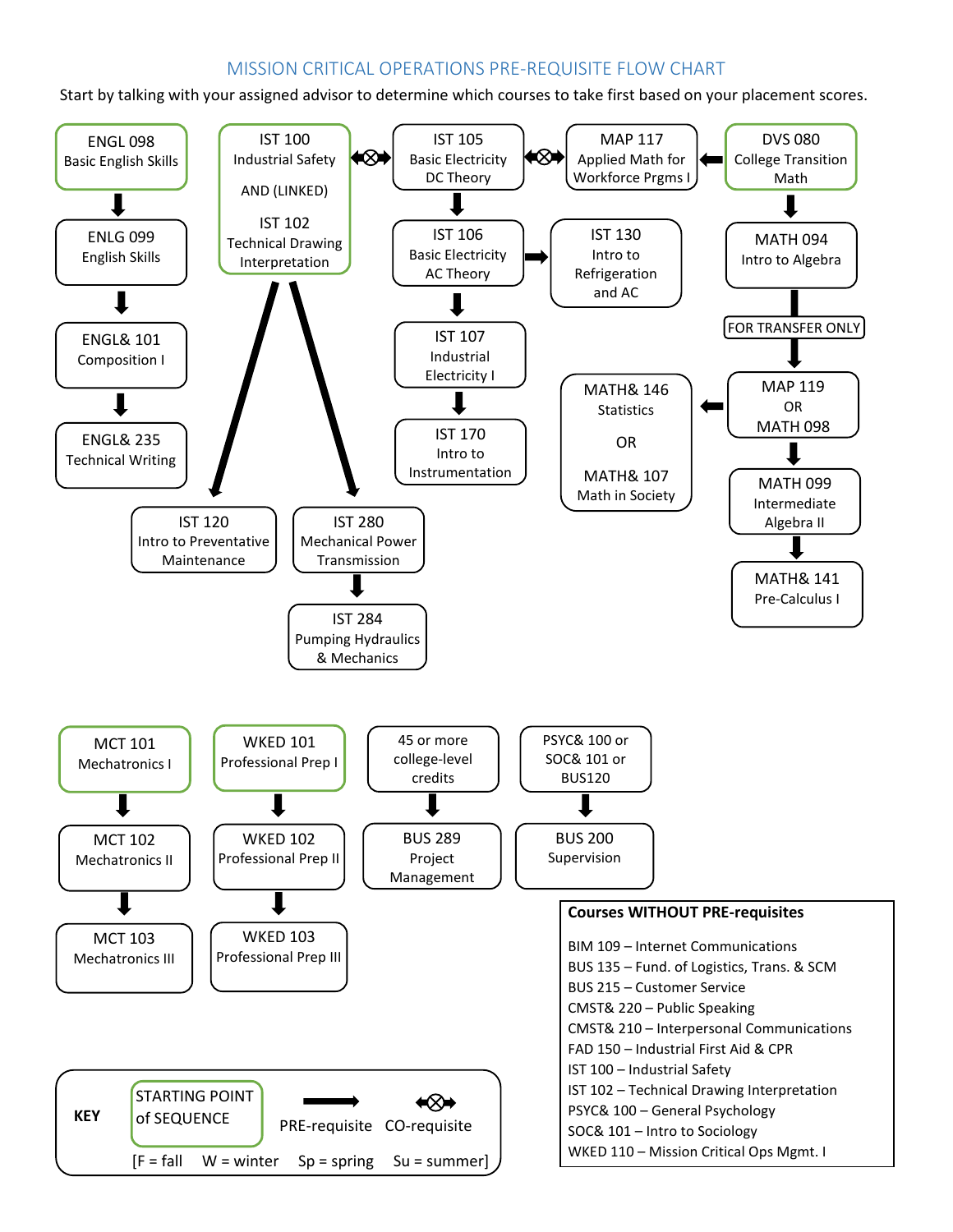## MISSION CRITICAL OPERATIONS PRE-REQUISITE FLOW CHART

Start by talking with your assigned advisor to determine which courses to take first based on your placement scores.

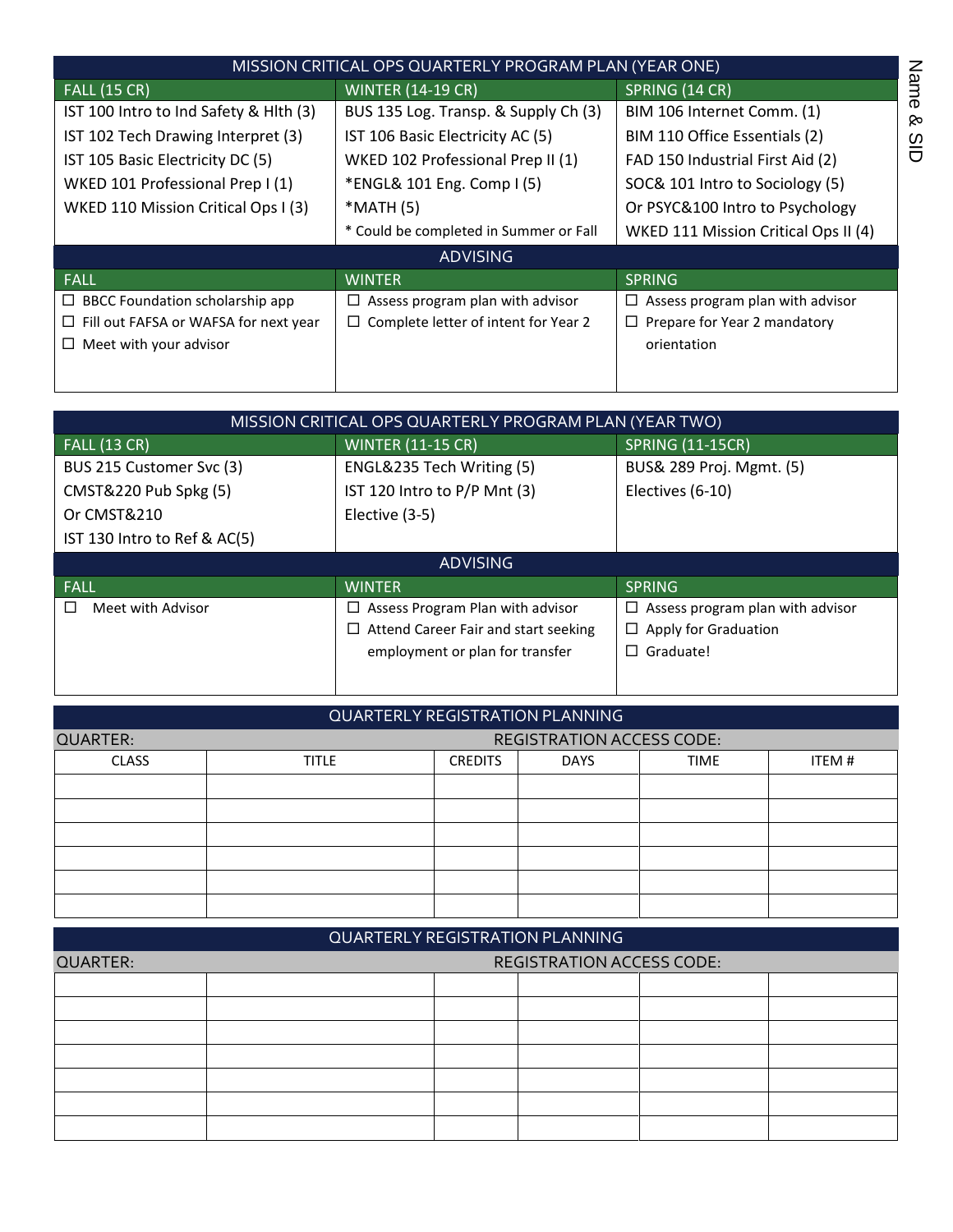|                                              | MISSION CRITICAL OPS QUARTERLY PROGRAM PLAN (YEAR ONE) |                                       |                     |
|----------------------------------------------|--------------------------------------------------------|---------------------------------------|---------------------|
| <b>FALL (15 CR)</b>                          | <b>WINTER (14-19 CR)</b>                               | SPRING (14 CR)                        | Nam                 |
| IST 100 Intro to Ind Safety & Hith (3)       | BUS 135 Log. Transp. & Supply Ch (3)                   | BIM 106 Internet Comm. (1)            | o<br><b>o</b>       |
| IST 102 Tech Drawing Interpret (3)           | IST 106 Basic Electricity AC (5)                       | BIM 110 Office Essentials (2)         | $\overline{\omega}$ |
| IST 105 Basic Electricity DC (5)             | WKED 102 Professional Prep II (1)                      | FAD 150 Industrial First Aid (2)      | $\Box$              |
| WKED 101 Professional Prep I (1)             | *ENGL& 101 Eng. Comp I (5)                             | SOC& 101 Intro to Sociology (5)       |                     |
| WKED 110 Mission Critical Ops I (3)          | *MATH (5)                                              | Or PSYC&100 Intro to Psychology       |                     |
|                                              | * Could be completed in Summer or Fall                 | WKED 111 Mission Critical Ops II (4)  |                     |
|                                              | <b>ADVISING</b>                                        |                                       |                     |
| <b>FALL</b>                                  | WINTER,                                                | <b>SPRING</b>                         |                     |
| $\Box$ BBCC Foundation scholarship app       | Assess program plan with advisor<br>ப                  | Assess program plan with advisor<br>⊔ |                     |
| $\Box$ Fill out FAFSA or WAFSA for next year | Complete letter of intent for Year 2<br>⊔              | Prepare for Year 2 mandatory<br>□     |                     |
| $\Box$ Meet with your advisor                |                                                        | orientation                           |                     |
|                                              |                                                        |                                       |                     |

|                              | MISSION CRITICAL OPS QUARTERLY PROGRAM PLAN (YEAR TWO) |                                       |
|------------------------------|--------------------------------------------------------|---------------------------------------|
| <b>FALL (13 CR)</b>          | <b>WINTER (11-15 CR)</b>                               | <b>SPRING (11-15CR)</b>               |
| BUS 215 Customer Svc (3)     | ENGL&235 Tech Writing (5)                              | BUS& 289 Proj. Mgmt. (5)              |
| CMST&220 Pub Spkg (5)        | IST 120 Intro to P/P Mnt (3)                           | Electives (6-10)                      |
| Or CMST&210                  | Elective (3-5)                                         |                                       |
| IST 130 Intro to Ref & AC(5) |                                                        |                                       |
|                              |                                                        |                                       |
|                              | <b>ADVISING</b>                                        |                                       |
| <b>FALL</b>                  | <b>WINTER</b>                                          | <b>SPRING</b>                         |
| Meet with Advisor            | Assess Program Plan with advisor<br>ப                  | Assess program plan with advisor<br>□ |
|                              | $\Box$ Attend Career Fair and start seeking            | Apply for Graduation<br>□             |
|                              | employment or plan for transfer                        | Graduate!<br>LI                       |

|                 |              |                | <b>QUARTERLY REGISTRATION PLANNING</b> |             |       |
|-----------------|--------------|----------------|----------------------------------------|-------------|-------|
| <b>QUARTER:</b> |              |                | <b>REGISTRATION ACCESS CODE:</b>       |             |       |
| <b>CLASS</b>    | <b>TITLE</b> | <b>CREDITS</b> | <b>DAYS</b>                            | <b>TIME</b> | ITEM# |
|                 |              |                |                                        |             |       |
|                 |              |                |                                        |             |       |
|                 |              |                |                                        |             |       |
|                 |              |                |                                        |             |       |
|                 |              |                |                                        |             |       |
|                 |              |                |                                        |             |       |

|                 |  | QUARTERLY REGISTRATION PLANNING  |  |
|-----------------|--|----------------------------------|--|
| <b>QUARTER:</b> |  | <b>REGISTRATION ACCESS CODE:</b> |  |
|                 |  |                                  |  |
|                 |  |                                  |  |
|                 |  |                                  |  |
|                 |  |                                  |  |
|                 |  |                                  |  |
|                 |  |                                  |  |
|                 |  |                                  |  |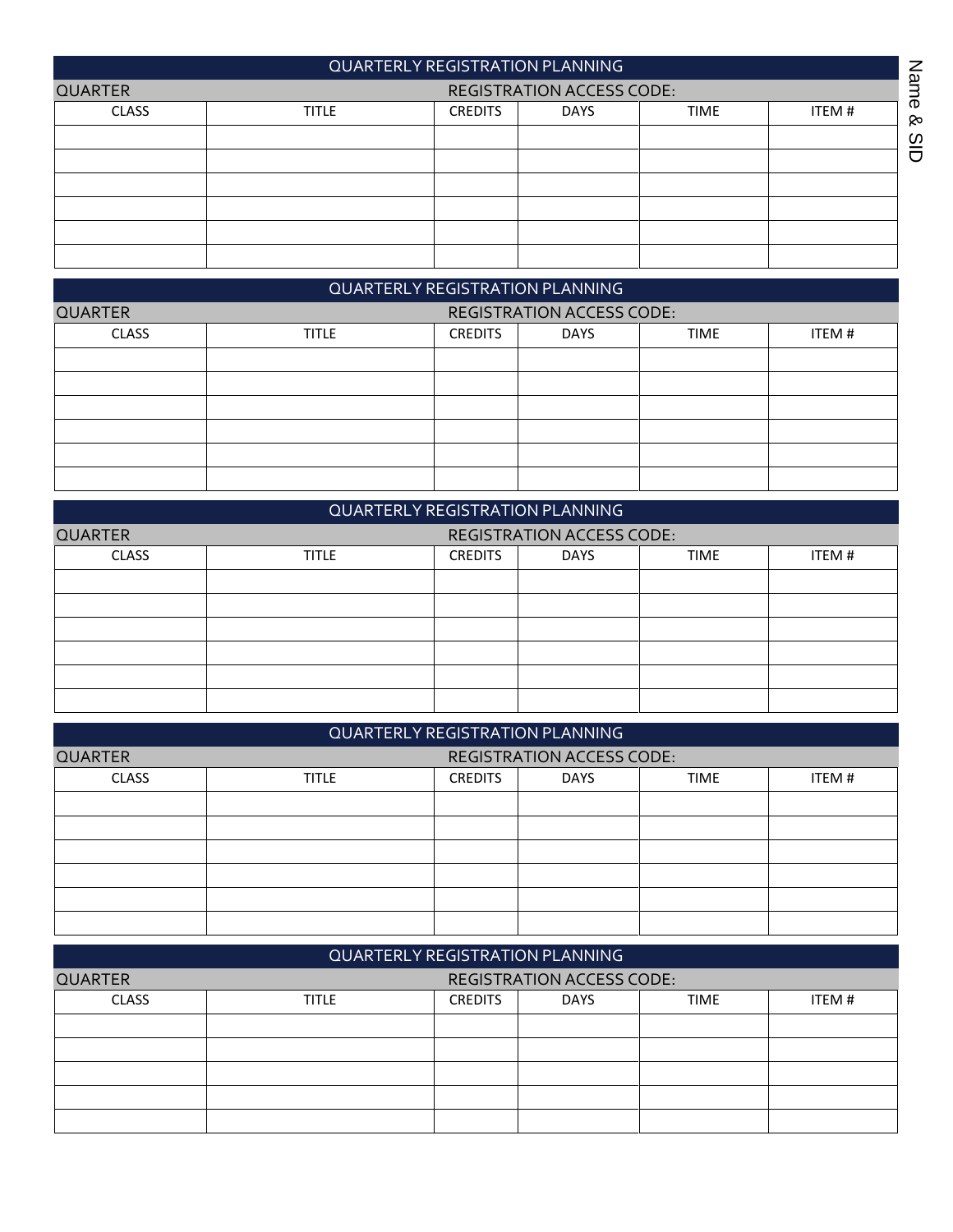|                |              |                | <b>QUARTERLY REGISTRATION PLANNING</b> |             |       | Nam           |
|----------------|--------------|----------------|----------------------------------------|-------------|-------|---------------|
| <b>QUARTER</b> |              |                | <b>REGISTRATION ACCESS CODE:</b>       |             |       |               |
| <b>CLASS</b>   | <b>TITLE</b> | <b>CREDITS</b> | <b>DAYS</b>                            | <b>TIME</b> | ITEM# | $\sigma$<br>ୁ |
|                |              |                |                                        |             |       | $\omega$      |
|                |              |                |                                        |             |       | ō             |
|                |              |                |                                        |             |       |               |
|                |              |                |                                        |             |       |               |
|                |              |                |                                        |             |       |               |
|                |              |                |                                        |             |       |               |

|                |              |                | <b>QUARTERLY REGISTRATION PLANNING</b> |             |       |
|----------------|--------------|----------------|----------------------------------------|-------------|-------|
| <b>QUARTER</b> |              |                | <b>REGISTRATION ACCESS CODE:</b>       |             |       |
| <b>CLASS</b>   | <b>TITLE</b> | <b>CREDITS</b> | <b>DAYS</b>                            | <b>TIME</b> | ITEM# |
|                |              |                |                                        |             |       |
|                |              |                |                                        |             |       |
|                |              |                |                                        |             |       |
|                |              |                |                                        |             |       |
|                |              |                |                                        |             |       |
|                |              |                |                                        |             |       |

|                |              |                | <b>QUARTERLY REGISTRATION PLANNING</b> |             |       |
|----------------|--------------|----------------|----------------------------------------|-------------|-------|
| <b>QUARTER</b> |              |                | <b>REGISTRATION ACCESS CODE:</b>       |             |       |
| <b>CLASS</b>   | <b>TITLE</b> | <b>CREDITS</b> | <b>DAYS</b>                            | <b>TIME</b> | ITEM# |
|                |              |                |                                        |             |       |
|                |              |                |                                        |             |       |
|                |              |                |                                        |             |       |
|                |              |                |                                        |             |       |
|                |              |                |                                        |             |       |
|                |              |                |                                        |             |       |

|                |              |                | QUARTERLY REGISTRATION PLANNING  |             |        |
|----------------|--------------|----------------|----------------------------------|-------------|--------|
| <b>QUARTER</b> |              |                | <b>REGISTRATION ACCESS CODE:</b> |             |        |
| <b>CLASS</b>   | <b>TITLE</b> | <b>CREDITS</b> | <b>DAYS</b>                      | <b>TIME</b> | ITEM # |
|                |              |                |                                  |             |        |
|                |              |                |                                  |             |        |
|                |              |                |                                  |             |        |
|                |              |                |                                  |             |        |
|                |              |                |                                  |             |        |
|                |              |                |                                  |             |        |

|                |              |                | QUARTERLY REGISTRATION PLANNING  |             |       |
|----------------|--------------|----------------|----------------------------------|-------------|-------|
| <b>QUARTER</b> |              |                | <b>REGISTRATION ACCESS CODE:</b> |             |       |
| <b>CLASS</b>   | <b>TITLE</b> | <b>CREDITS</b> | <b>DAYS</b>                      | <b>TIME</b> | ITEM# |
|                |              |                |                                  |             |       |
|                |              |                |                                  |             |       |
|                |              |                |                                  |             |       |
|                |              |                |                                  |             |       |
|                |              |                |                                  |             |       |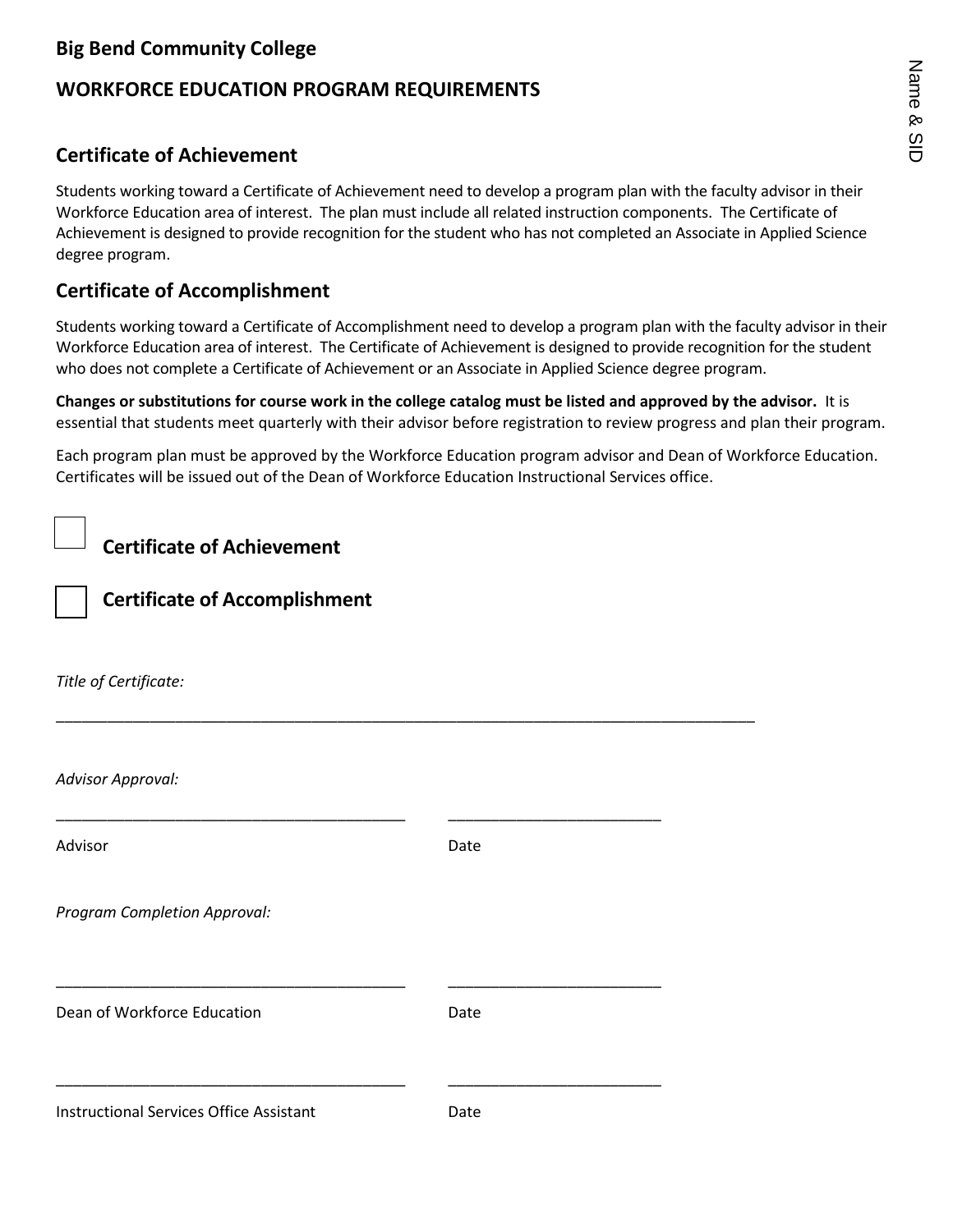# **Big Bend Community College**

# **WORKFORCE EDUCATION PROGRAM REQUIREMENTS**

# **Certificate of Achievement**

Students working toward a Certificate of Achievement need to develop a program plan with the faculty advisor in their Workforce Education area of interest. The plan must include all related instruction components. The Certificate of Achievement is designed to provide recognition for the student who has not completed an Associate in Applied Science degree program.

# **Certificate of Accomplishment**

Students working toward a Certificate of Accomplishment need to develop a program plan with the faculty advisor in their Workforce Education area of interest. The Certificate of Achievement is designed to provide recognition for the student who does not complete a Certificate of Achievement or an Associate in Applied Science degree program.

**Changes or substitutions for course work in the college catalog must be listed and approved by the advisor.** It is essential that students meet quarterly with their advisor before registration to review progress and plan their program.

Each program plan must be approved by the Workforce Education program advisor and Dean of Workforce Education. Certificates will be issued out of the Dean of Workforce Education Instructional Services office.

**Certificate of Achievement**

**Certificate of Accomplishment**

*Title of Certificate:*

*Advisor Approval:*

Advisor **Date** 

\_\_\_\_\_\_\_\_\_\_\_\_\_\_\_\_\_\_\_\_\_\_\_\_\_\_\_\_\_\_\_\_\_\_\_\_\_\_\_\_\_\_\_\_\_\_\_\_\_\_\_\_\_\_\_\_\_\_\_\_\_\_\_\_\_\_\_\_\_\_\_\_\_\_\_\_\_\_\_\_\_\_

\_\_\_\_\_\_\_\_\_\_\_\_\_\_\_\_\_\_\_\_\_\_\_\_\_\_\_\_\_\_\_\_\_\_\_\_\_\_\_\_\_ \_\_\_\_\_\_\_\_\_\_\_\_\_\_\_\_\_\_\_\_\_\_\_\_\_

\_\_\_\_\_\_\_\_\_\_\_\_\_\_\_\_\_\_\_\_\_\_\_\_\_\_\_\_\_\_\_\_\_\_\_\_\_\_\_\_\_ \_\_\_\_\_\_\_\_\_\_\_\_\_\_\_\_\_\_\_\_\_\_\_\_\_

\_\_\_\_\_\_\_\_\_\_\_\_\_\_\_\_\_\_\_\_\_\_\_\_\_\_\_\_\_\_\_\_\_\_\_\_\_\_\_\_\_ \_\_\_\_\_\_\_\_\_\_\_\_\_\_\_\_\_\_\_\_\_\_\_\_\_

*Program Completion Approval:*

| Dean of Workforce Education | Date |
|-----------------------------|------|
|-----------------------------|------|

Instructional Services Office Assistant Date